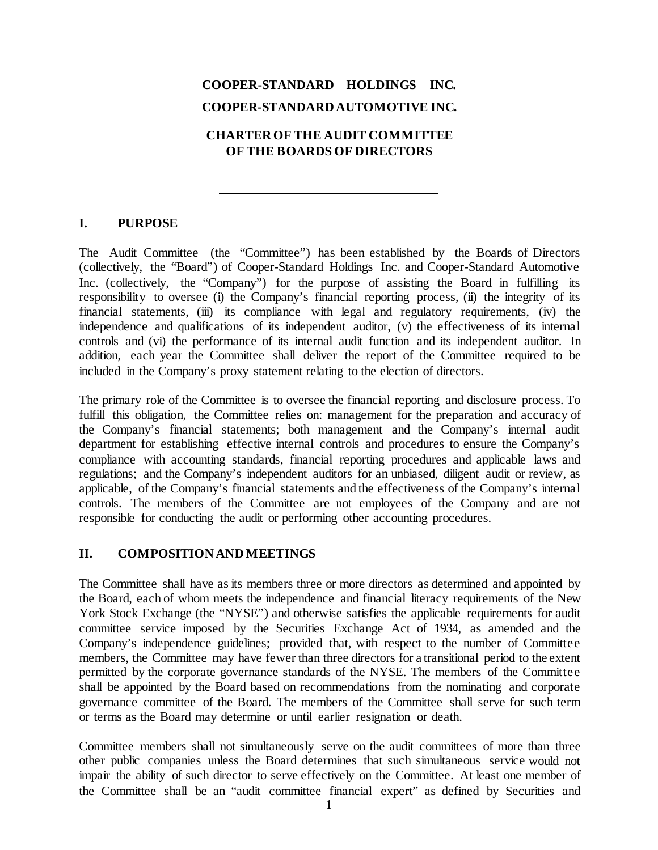# **COOPER-STANDARD HOLDINGS INC. COOPER-STANDARDAUTOMOTIVE INC.**

# **CHARTEROF THE AUDIT COMMITTEE OF THE BOARDS OF DIRECTORS**

## **I. PURPOSE**

The Audit Committee (the "Committee") has been established by the Boards of Directors (collectively, the "Board") of Cooper-Standard Holdings Inc. and Cooper-Standard Automotive Inc. (collectively, the "Company") for the purpose of assisting the Board in fulfilling its responsibility to oversee (i) the Company's financial reporting process, (ii) the integrity of its financial statements, (iii) its compliance with legal and regulatory requirements, (iv) the independence and qualifications of its independent auditor, (v) the effectiveness of its internal controls and (vi) the performance of its internal audit function and its independent auditor. In addition, each year the Committee shall deliver the report of the Committee required to be included in the Company's proxy statement relating to the election of directors.

The primary role of the Committee is to oversee the financial reporting and disclosure process. To fulfill this obligation, the Committee relies on: management for the preparation and accuracy of the Company's financial statements; both management and the Company's internal audit department for establishing effective internal controls and procedures to ensure the Company's compliance with accounting standards, financial reporting procedures and applicable laws and regulations; and the Company's independent auditors for an unbiased, diligent audit or review, as applicable, of the Company's financial statements and the effectiveness of the Company's internal controls. The members of the Committee are not employees of the Company and are not responsible for conducting the audit or performing other accounting procedures.

#### **II. COMPOSITION ANDMEETINGS**

The Committee shall have as its members three or more directors as determined and appointed by the Board, each of whom meets the independence and financial literacy requirements of the New York Stock Exchange (the "NYSE") and otherwise satisfies the applicable requirements for audit committee service imposed by the Securities Exchange Act of 1934, as amended and the Company's independence guidelines; provided that, with respect to the number of Committee members, the Committee may have fewer than three directors for a transitional period to the extent permitted by the corporate governance standards of the NYSE. The members of the Committee shall be appointed by the Board based on recommendations from the nominating and corporate governance committee of the Board. The members of the Committee shall serve for such term or terms as the Board may determine or until earlier resignation or death.

Committee members shall not simultaneously serve on the audit committees of more than three other public companies unless the Board determines that such simultaneous service would not impair the ability of such director to serve effectively on the Committee. At least one member of the Committee shall be an "audit committee financial expert" as defined by Securities and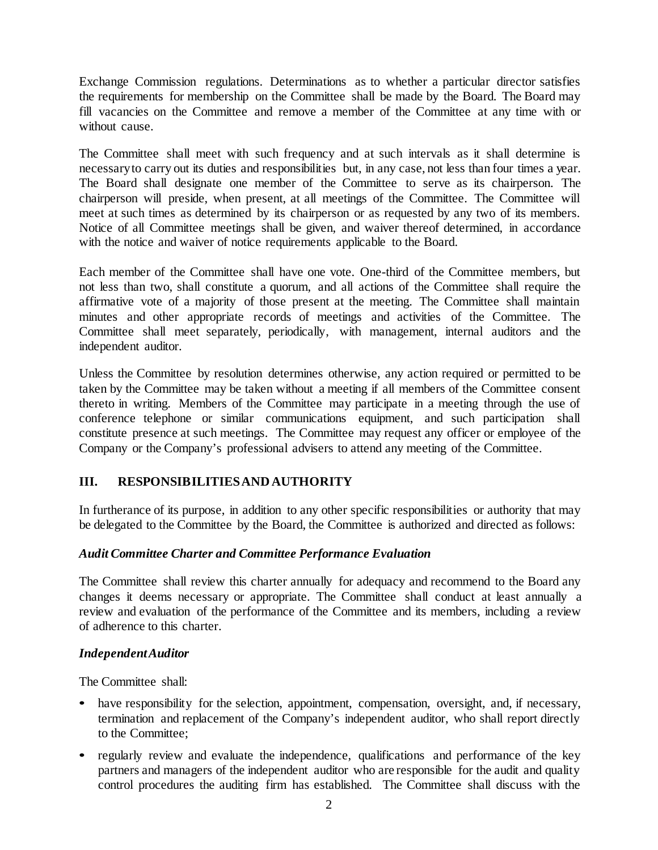Exchange Commission regulations. Determinations as to whether a particular director satisfies the requirements for membership on the Committee shall be made by the Board. The Board may fill vacancies on the Committee and remove a member of the Committee at any time with or without cause.

The Committee shall meet with such frequency and at such intervals as it shall determine is necessaryto carry out its duties and responsibilities but, in any case, not less than four times a year. The Board shall designate one member of the Committee to serve as its chairperson. The chairperson will preside, when present, at all meetings of the Committee. The Committee will meet at such times as determined by its chairperson or as requested by any two of its members. Notice of all Committee meetings shall be given, and waiver thereof determined, in accordance with the notice and waiver of notice requirements applicable to the Board.

Each member of the Committee shall have one vote. One-third of the Committee members, but not less than two, shall constitute a quorum, and all actions of the Committee shall require the affirmative vote of a majority of those present at the meeting. The Committee shall maintain minutes and other appropriate records of meetings and activities of the Committee. The Committee shall meet separately, periodically, with management, internal auditors and the independent auditor.

Unless the Committee by resolution determines otherwise, any action required or permitted to be taken by the Committee may be taken without a meeting if all members of the Committee consent thereto in writing. Members of the Committee may participate in a meeting through the use of conference telephone or similar communications equipment, and such participation shall constitute presence at such meetings. The Committee may request any officer or employee of the Company or the Company's professional advisers to attend any meeting of the Committee.

# **III. RESPONSIBILITIESAND AUTHORITY**

In furtherance of its purpose, in addition to any other specific responsibilities or authority that may be delegated to the Committee by the Board, the Committee is authorized and directed as follows:

# *Audit Committee Charter and Committee Performance Evaluation*

The Committee shall review this charter annually for adequacy and recommend to the Board any changes it deems necessary or appropriate. The Committee shall conduct at least annually a review and evaluation of the performance of the Committee and its members, including a review of adherence to this charter.

#### *IndependentAuditor*

The Committee shall:

- have responsibility for the selection, appointment, compensation, oversight, and, if necessary, termination and replacement of the Company's independent auditor, who shall report directly to the Committee;
- regularly review and evaluate the independence, qualifications and performance of the key partners and managers of the independent auditor who are responsible for the audit and quality control procedures the auditing firm has established. The Committee shall discuss with the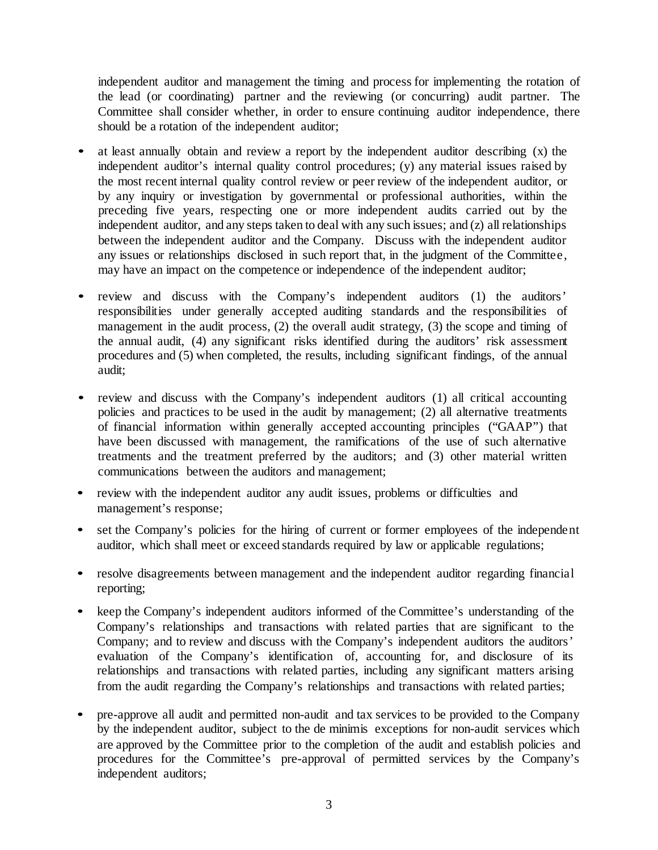independent auditor and management the timing and process for implementing the rotation of the lead (or coordinating) partner and the reviewing (or concurring) audit partner. The Committee shall consider whether, in order to ensure continuing auditor independence, there should be a rotation of the independent auditor;

- at least annually obtain and review a report by the independent auditor describing (x) the independent auditor's internal quality control procedures; (y) any material issues raised by the most recent internal quality control review or peer review of the independent auditor, or by any inquiry or investigation by governmental or professional authorities, within the preceding five years, respecting one or more independent audits carried out by the independent auditor, and any steps taken to deal with any such issues; and (z) all relationships between the independent auditor and the Company. Discuss with the independent auditor any issues or relationships disclosed in such report that, in the judgment of the Committee, may have an impact on the competence or independence of the independent auditor;
- review and discuss with the Company's independent auditors (1) the auditors' responsibilities under generally accepted auditing standards and the responsibilities of management in the audit process, (2) the overall audit strategy, (3) the scope and timing of the annual audit, (4) any significant risks identified during the auditors' risk assessment procedures and (5) when completed, the results, including significant findings, of the annual audit;
- review and discuss with the Company's independent auditors (1) all critical accounting policies and practices to be used in the audit by management; (2) all alternative treatments of financial information within generally accepted accounting principles ("GAAP") that have been discussed with management, the ramifications of the use of such alternative treatments and the treatment preferred by the auditors; and (3) other material written communications between the auditors and management;
- review with the independent auditor any audit issues, problems or difficulties and management's response;
- set the Company's policies for the hiring of current or former employees of the independent auditor, which shall meet or exceed standards required by law or applicable regulations;
- resolve disagreements between management and the independent auditor regarding financial reporting;
- keep the Company's independent auditors informed of the Committee's understanding of the Company's relationships and transactions with related parties that are significant to the Company; and to review and discuss with the Company's independent auditors the auditors' evaluation of the Company's identification of, accounting for, and disclosure of its relationships and transactions with related parties, including any significant matters arising from the audit regarding the Company's relationships and transactions with related parties;
- pre-approve all audit and permitted non-audit and tax services to be provided to the Company by the independent auditor, subject to the de minimis exceptions for non-audit services which are approved by the Committee prior to the completion of the audit and establish policies and procedures for the Committee's pre-approval of permitted services by the Company's independent auditors;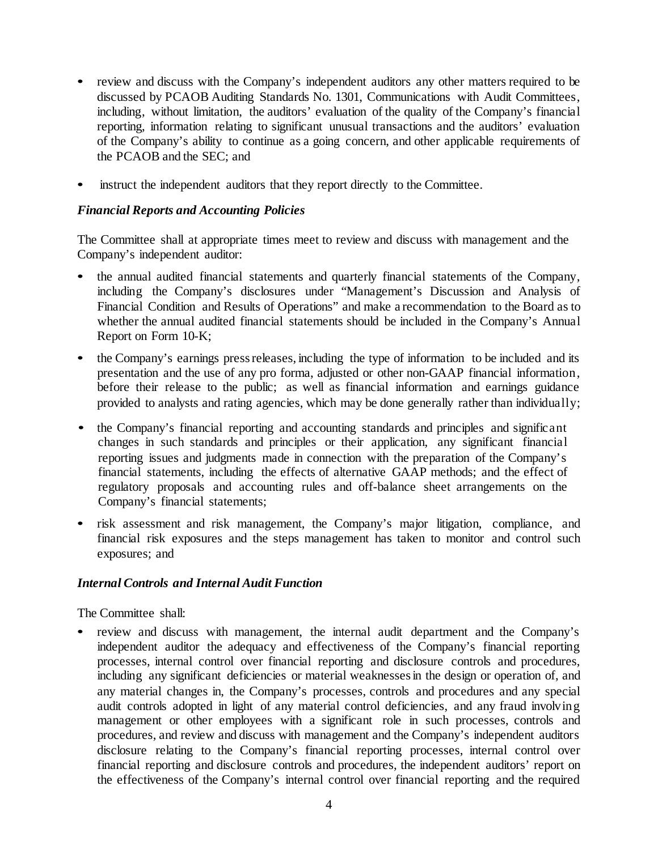- review and discuss with the Company's independent auditors any other matters required to be discussed by PCAOB Auditing Standards No. 1301, Communications with Audit Committees, including, without limitation, the auditors' evaluation of the quality of the Company's financial reporting, information relating to significant unusual transactions and the auditors' evaluation of the Company's ability to continue as a going concern, and other applicable requirements of the PCAOB and the SEC; and
- instruct the independent auditors that they report directly to the Committee.

## *Financial Reports and Accounting Policies*

The Committee shall at appropriate times meet to review and discuss with management and the Company's independent auditor:

- the annual audited financial statements and quarterly financial statements of the Company, including the Company's disclosures under "Management's Discussion and Analysis of Financial Condition and Results of Operations" and make a recommendation to the Board as to whether the annual audited financial statements should be included in the Company's Annual Report on Form 10-K;
- the Company's earnings pressreleases, including the type of information to be included and its presentation and the use of any pro forma, adjusted or other non-GAAP financial information, before their release to the public; as well as financial information and earnings guidance provided to analysts and rating agencies, which may be done generally rather than individually;
- the Company's financial reporting and accounting standards and principles and significant changes in such standards and principles or their application, any significant financial reporting issues and judgments made in connection with the preparation of the Company's financial statements, including the effects of alternative GAAP methods; and the effect of regulatory proposals and accounting rules and off-balance sheet arrangements on the Company's financial statements;
- risk assessment and risk management, the Company's major litigation, compliance, and financial risk exposures and the steps management has taken to monitor and control such exposures; and

#### *Internal Controls and Internal Audit Function*

The Committee shall:

• review and discuss with management, the internal audit department and the Company's independent auditor the adequacy and effectiveness of the Company's financial reporting processes, internal control over financial reporting and disclosure controls and procedures, including any significant deficiencies or material weaknesses in the design or operation of, and any material changes in, the Company's processes, controls and procedures and any special audit controls adopted in light of any material control deficiencies, and any fraud involving management or other employees with a significant role in such processes, controls and procedures, and review and discuss with management and the Company's independent auditors disclosure relating to the Company's financial reporting processes, internal control over financial reporting and disclosure controls and procedures, the independent auditors' report on the effectiveness of the Company's internal control over financial reporting and the required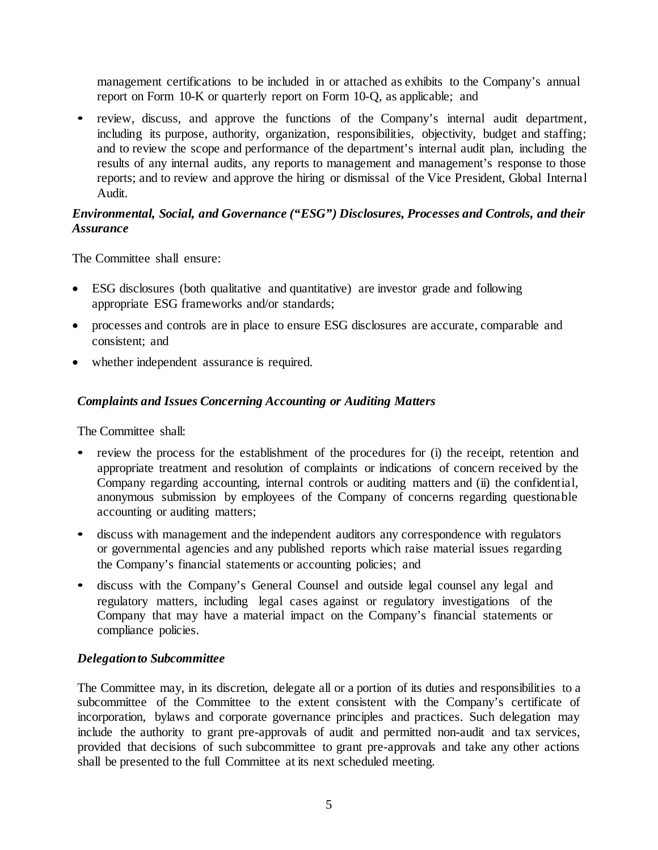management certifications to be included in or attached as exhibits to the Company's annual report on Form 10-K or quarterly report on Form 10-Q, as applicable; and

• review, discuss, and approve the functions of the Company's internal audit department, including its purpose, authority, organization, responsibilities, objectivity, budget and staffing; and to review the scope and performance of the department's internal audit plan, including the results of any internal audits, any reports to management and management's response to those reports; and to review and approve the hiring or dismissal of the Vice President, Global Internal Audit.

## *Environmental, Social, and Governance ("ESG") Disclosures, Processes and Controls, and their Assurance*

The Committee shall ensure:

- ESG disclosures (both qualitative and quantitative) are investor grade and following appropriate ESG frameworks and/or standards;
- processes and controls are in place to ensure ESG disclosures are accurate, comparable and consistent; and
- whether independent assurance is required.

## *Complaints and Issues Concerning Accounting or Auditing Matters*

The Committee shall:

- review the process for the establishment of the procedures for (i) the receipt, retention and appropriate treatment and resolution of complaints or indications of concern received by the Company regarding accounting, internal controls or auditing matters and (ii) the confidential, anonymous submission by employees of the Company of concerns regarding questionable accounting or auditing matters;
- discuss with management and the independent auditors any correspondence with regulators or governmental agencies and any published reports which raise material issues regarding the Company's financial statements or accounting policies; and
- discuss with the Company's General Counsel and outside legal counsel any legal and regulatory matters, including legal cases against or regulatory investigations of the Company that may have a material impact on the Company's financial statements or compliance policies.

#### *Delegationto Subcommittee*

The Committee may, in its discretion, delegate all or a portion of its duties and responsibilities to a subcommittee of the Committee to the extent consistent with the Company's certificate of incorporation, bylaws and corporate governance principles and practices. Such delegation may include the authority to grant pre-approvals of audit and permitted non-audit and tax services, provided that decisions of such subcommittee to grant pre-approvals and take any other actions shall be presented to the full Committee at its next scheduled meeting.